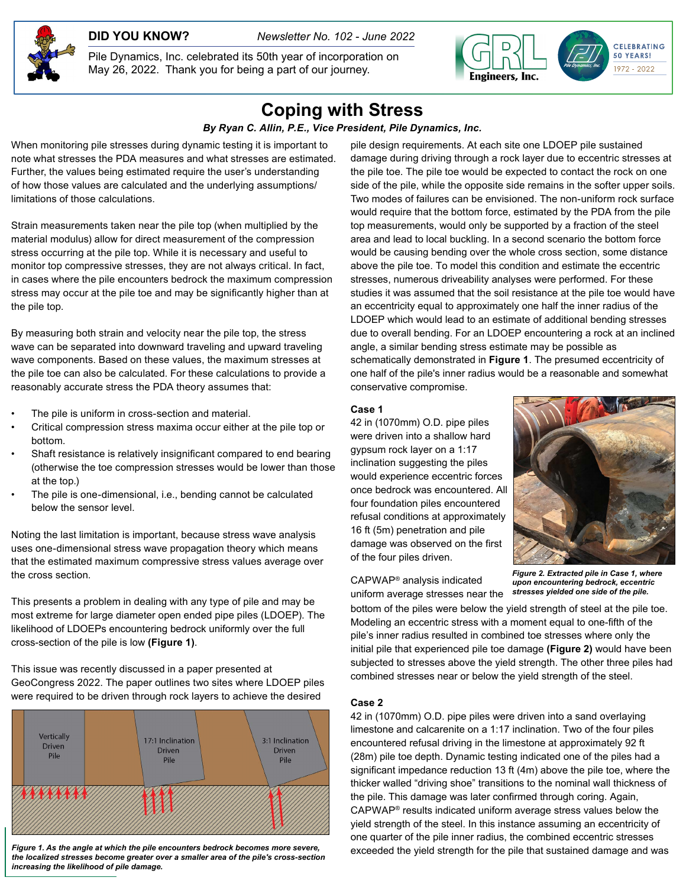**DID YOU KNOW?** *Newsletter No. 102 - June 2022*

Pile Dynamics, Inc. celebrated its 50th year of incorporation on May 26, 2022. Thank you for being a part of our journey.



# **Coping with Stress**

*By Ryan C. Allin, P.E., Vice President, Pile Dynamics, Inc.*

When monitoring pile stresses during dynamic testing it is important to note what stresses the PDA measures and what stresses are estimated. Further, the values being estimated require the user's understanding of how those values are calculated and the underlying assumptions/ limitations of those calculations.

Strain measurements taken near the pile top (when multiplied by the material modulus) allow for direct measurement of the compression stress occurring at the pile top. While it is necessary and useful to monitor top compressive stresses, they are not always critical. In fact, in cases where the pile encounters bedrock the maximum compression stress may occur at the pile toe and may be significantly higher than at the pile top.

By measuring both strain and velocity near the pile top, the stress wave can be separated into downward traveling and upward traveling wave components. Based on these values, the maximum stresses at the pile toe can also be calculated. For these calculations to provide a reasonably accurate stress the PDA theory assumes that:

- The pile is uniform in cross-section and material.
- Critical compression stress maxima occur either at the pile top or bottom.
- Shaft resistance is relatively insignificant compared to end bearing (otherwise the toe compression stresses would be lower than those at the top.)
- The pile is one-dimensional, i.e., bending cannot be calculated below the sensor level.

Noting the last limitation is important, because stress wave analysis uses one-dimensional stress wave propagation theory which means that the estimated maximum compressive stress values average over the cross section.

This presents a problem in dealing with any type of pile and may be most extreme for large diameter open ended pipe piles (LDOEP). The likelihood of LDOEPs encountering bedrock uniformly over the full cross-section of the pile is low **(Figure 1)**.

This issue was recently discussed in a paper presented at GeoCongress 2022. The paper outlines two sites where LDOEP piles were required to be driven through rock layers to achieve the desired



*Figure 1. As the angle at which the pile encounters bedrock becomes more severe, the localized stresses become greater over a smaller area of the pile's cross-section increasing the likelihood of pile damage.*

pile design requirements. At each site one LDOEP pile sustained damage during driving through a rock layer due to eccentric stresses at the pile toe. The pile toe would be expected to contact the rock on one side of the pile, while the opposite side remains in the softer upper soils. Two modes of failures can be envisioned. The non-uniform rock surface would require that the bottom force, estimated by the PDA from the pile top measurements, would only be supported by a fraction of the steel area and lead to local buckling. In a second scenario the bottom force would be causing bending over the whole cross section, some distance above the pile toe. To model this condition and estimate the eccentric stresses, numerous driveability analyses were performed. For these studies it was assumed that the soil resistance at the pile toe would have an eccentricity equal to approximately one half the inner radius of the LDOEP which would lead to an estimate of additional bending stresses due to overall bending. For an LDOEP encountering a rock at an inclined angle, a similar bending stress estimate may be possible as schematically demonstrated in **Figure 1**. The presumed eccentricity of one half of the pile's inner radius would be a reasonable and somewhat conservative compromise.

#### **Case 1**

42 in (1070mm) O.D. pipe piles were driven into a shallow hard gypsum rock layer on a 1:17 inclination suggesting the piles would experience eccentric forces once bedrock was encountered. All four foundation piles encountered refusal conditions at approximately 16 ft (5m) penetration and pile damage was observed on the first of the four piles driven.



CAPWAP® analysis indicated uniform average stresses near the

*Figure 2. Extracted pile in Case 1, where upon encountering bedrock, eccentric stresses yielded one side of the pile.*

bottom of the piles were below the yield strength of steel at the pile toe. Modeling an eccentric stress with a moment equal to one-fifth of the pile's inner radius resulted in combined toe stresses where only the initial pile that experienced pile toe damage **(Figure 2)** would have been subjected to stresses above the yield strength. The other three piles had combined stresses near or below the yield strength of the steel.

#### **Case 2**

42 in (1070mm) O.D. pipe piles were driven into a sand overlaying limestone and calcarenite on a 1:17 inclination. Two of the four piles encountered refusal driving in the limestone at approximately 92 ft (28m) pile toe depth. Dynamic testing indicated one of the piles had a significant impedance reduction 13 ft (4m) above the pile toe, where the thicker walled "driving shoe" transitions to the nominal wall thickness of the pile. This damage was later confirmed through coring. Again, CAPWAP® results indicated uniform average stress values below the yield strength of the steel. In this instance assuming an eccentricity of one quarter of the pile inner radius, the combined eccentric stresses exceeded the yield strength for the pile that sustained damage and was